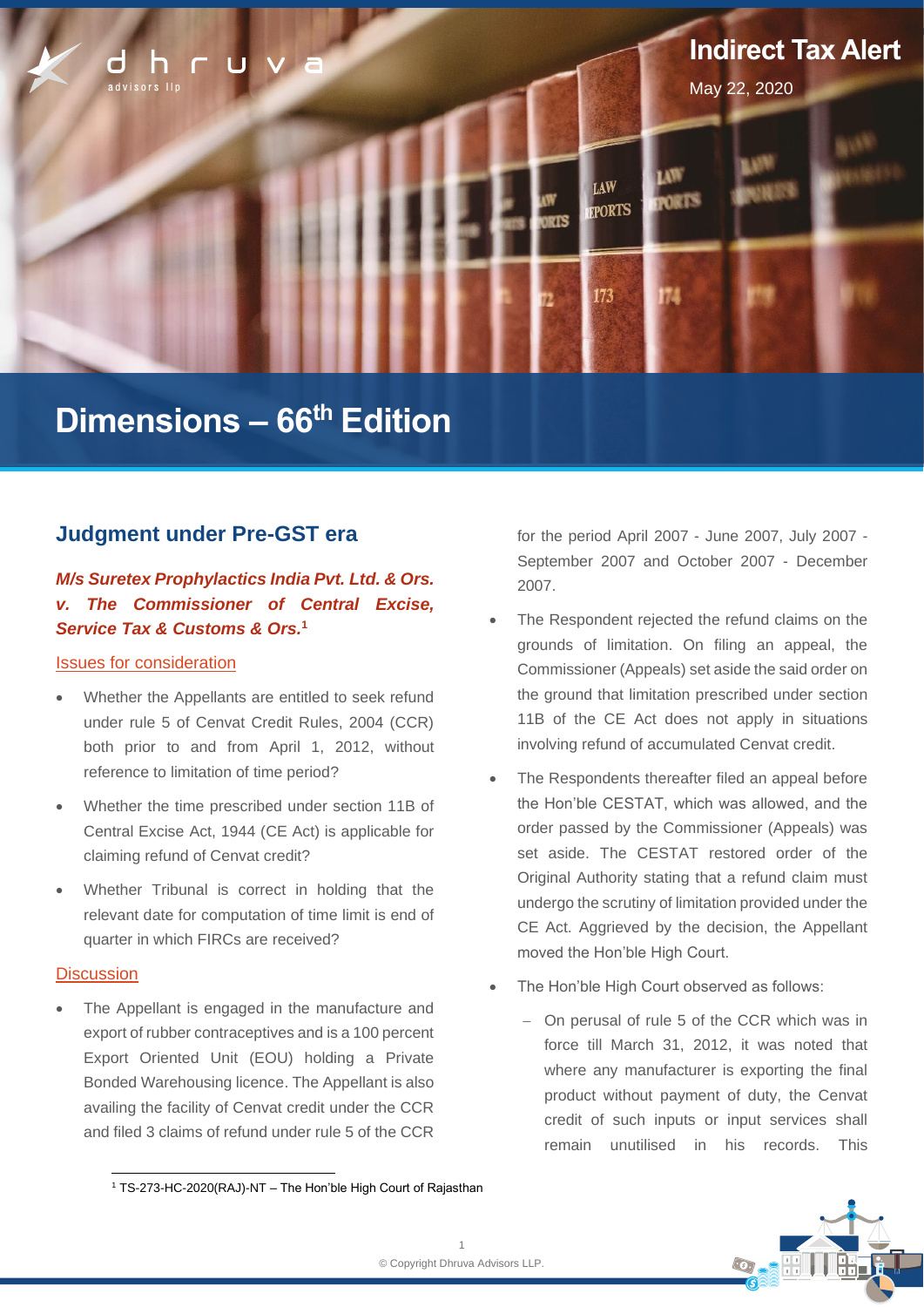

# **Dimensions – 66 th Edition**

### **Judgment under Pre-GST era**

### *M/s Suretex Prophylactics India Pvt. Ltd. & Ors. v. The Commissioner of Central Excise, Service Tax & Customs & Ors.***<sup>1</sup>**

### Issues for consideration

- Whether the Appellants are entitled to seek refund under rule 5 of Cenvat Credit Rules, 2004 (CCR) both prior to and from April 1, 2012, without reference to limitation of time period?
- Whether the time prescribed under section 11B of Central Excise Act, 1944 (CE Act) is applicable for claiming refund of Cenvat credit?
- Whether Tribunal is correct in holding that the relevant date for computation of time limit is end of quarter in which FIRCs are received?

### **Discussion**

The Appellant is engaged in the manufacture and export of rubber contraceptives and is a 100 percent Export Oriented Unit (EOU) holding a Private Bonded Warehousing licence. The Appellant is also availing the facility of Cenvat credit under the CCR and filed 3 claims of refund under rule 5 of the CCR

for the period April 2007 - June 2007, July 2007 - September 2007 and October 2007 - December 2007.

- The Respondent rejected the refund claims on the grounds of limitation. On filing an appeal, the Commissioner (Appeals) set aside the said order on the ground that limitation prescribed under section 11B of the CE Act does not apply in situations involving refund of accumulated Cenvat credit.
- The Respondents thereafter filed an appeal before the Hon'ble CESTAT, which was allowed, and the order passed by the Commissioner (Appeals) was set aside. The CESTAT restored order of the Original Authority stating that a refund claim must undergo the scrutiny of limitation provided under the CE Act. Aggrieved by the decision, the Appellant moved the Hon'ble High Court.
- The Hon'ble High Court observed as follows:
	- − On perusal of rule 5 of the CCR which was in force till March 31, 2012, it was noted that where any manufacturer is exporting the final product without payment of duty, the Cenvat credit of such inputs or input services shall remain unutilised in his records. This



<sup>1</sup> TS-273-HC-2020(RAJ)-NT – The Hon'ble High Court of Rajasthan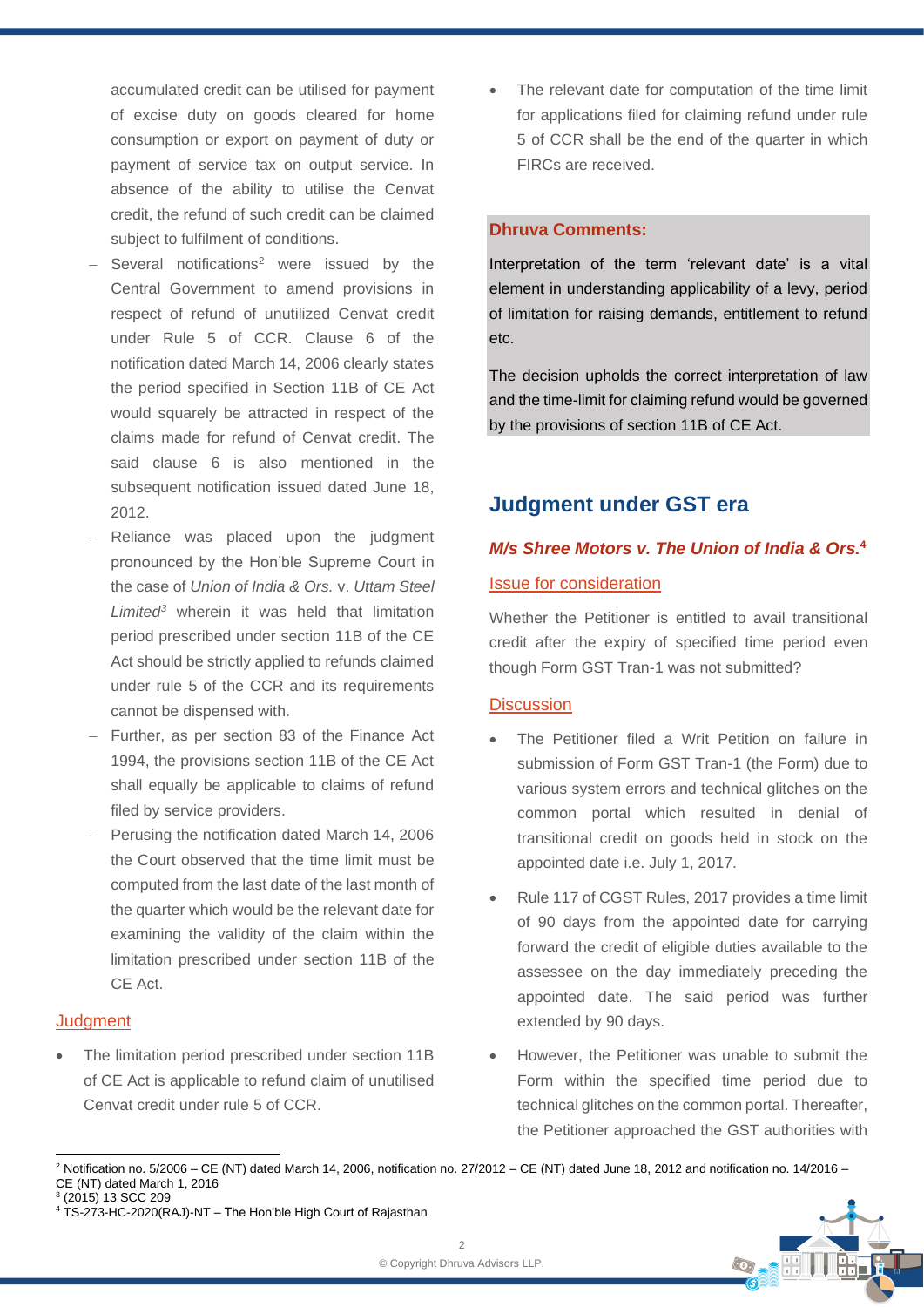accumulated credit can be utilised for payment of excise duty on goods cleared for home consumption or export on payment of duty or payment of service tax on output service. In absence of the ability to utilise the Cenvat credit, the refund of such credit can be claimed subject to fulfilment of conditions.

- Several notifications<sup>2</sup> were issued by the Central Government to amend provisions in respect of refund of unutilized Cenvat credit under Rule 5 of CCR. Clause 6 of the notification dated March 14, 2006 clearly states the period specified in Section 11B of CE Act would squarely be attracted in respect of the claims made for refund of Cenvat credit. The said clause 6 is also mentioned in the subsequent notification issued dated June 18, 2012.
- Reliance was placed upon the judgment pronounced by the Hon'ble Supreme Court in the case of *Union of India & Ors.* v. *Uttam Steel Limited<sup>3</sup>* wherein it was held that limitation period prescribed under section 11B of the CE Act should be strictly applied to refunds claimed under rule 5 of the CCR and its requirements cannot be dispensed with.
- − Further, as per section 83 of the Finance Act 1994, the provisions section 11B of the CE Act shall equally be applicable to claims of refund filed by service providers.
- − Perusing the notification dated March 14, 2006 the Court observed that the time limit must be computed from the last date of the last month of the quarter which would be the relevant date for examining the validity of the claim within the limitation prescribed under section 11B of the CE Act.

### **Judament**

The limitation period prescribed under section 11B of CE Act is applicable to refund claim of unutilised Cenvat credit under rule 5 of CCR.

The relevant date for computation of the time limit for applications filed for claiming refund under rule 5 of CCR shall be the end of the quarter in which FIRCs are received.

### **Dhruva Comments:**

Interpretation of the term 'relevant date' is a vital element in understanding applicability of a levy, period of limitation for raising demands, entitlement to refund etc.

The decision upholds the correct interpretation of law and the time-limit for claiming refund would be governed by the provisions of section 11B of CE Act.

### **Judgment under GST era**

## *M/s Shree Motors v. The Union of India & Ors.***<sup>4</sup>**

### Issue for consideration

Whether the Petitioner is entitled to avail transitional credit after the expiry of specified time period even though Form GST Tran-1 was not submitted?

### **Discussion**

- The Petitioner filed a Writ Petition on failure in submission of Form GST Tran-1 (the Form) due to various system errors and technical glitches on the common portal which resulted in denial of transitional credit on goods held in stock on the appointed date i.e. July 1, 2017.
- Rule 117 of CGST Rules, 2017 provides a time limit of 90 days from the appointed date for carrying forward the credit of eligible duties available to the assessee on the day immediately preceding the appointed date. The said period was further extended by 90 days.
- However, the Petitioner was unable to submit the Form within the specified time period due to technical glitches on the common portal. Thereafter, the Petitioner approached the GST authorities with

 $2$  Notification no. 5/2006 – CE (NT) dated March 14, 2006, notification no. 27/2012 – CE (NT) dated June 18, 2012 and notification no. 14/2016 – CE (NT) dated March 1, 2016 3 (2015) 13 SCC 209



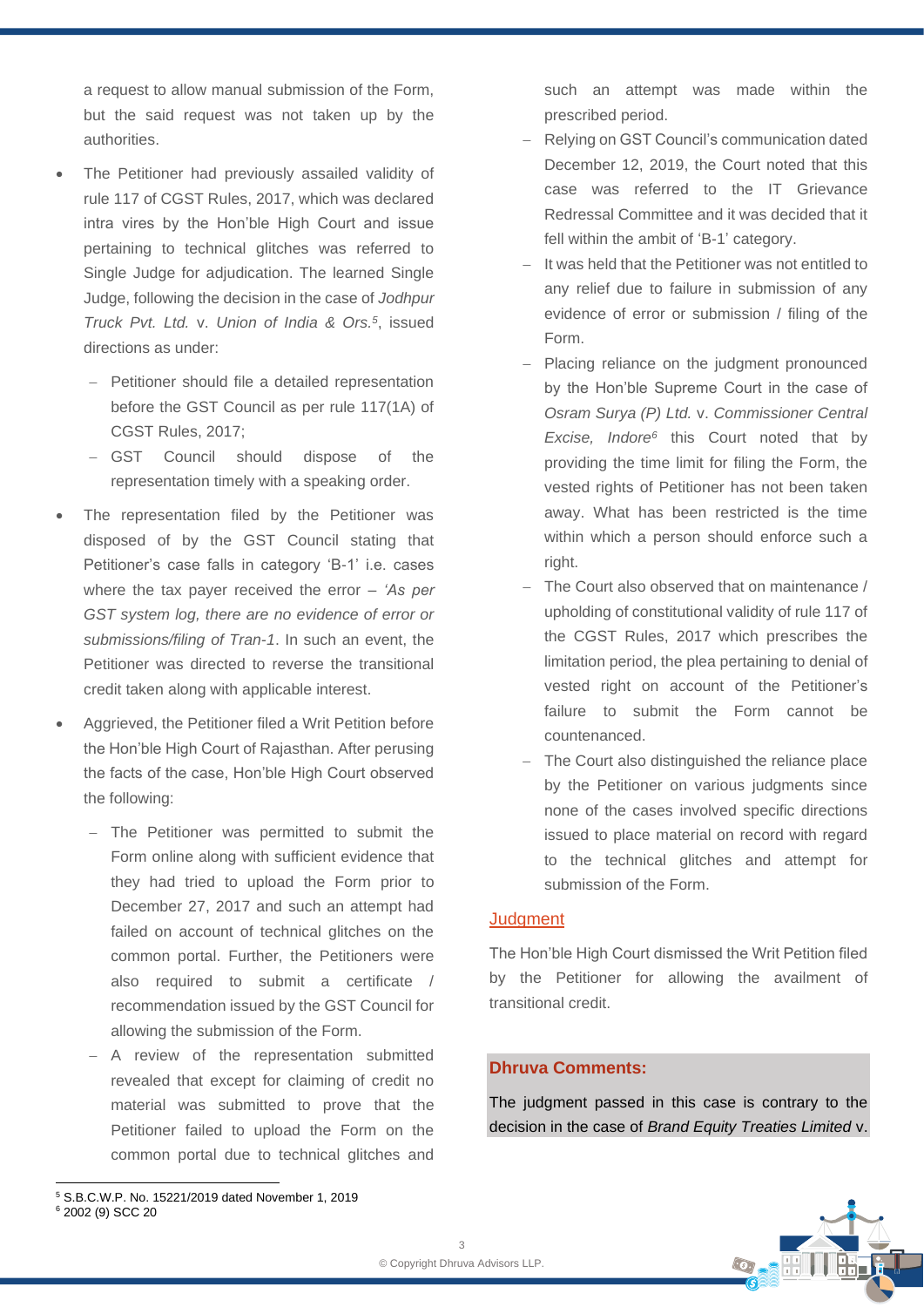a request to allow manual submission of the Form, but the said request was not taken up by the authorities.

- The Petitioner had previously assailed validity of rule 117 of CGST Rules, 2017, which was declared intra vires by the Hon'ble High Court and issue pertaining to technical glitches was referred to Single Judge for adjudication. The learned Single Judge, following the decision in the case of *Jodhpur Truck Pvt. Ltd.* v. *Union of India & Ors.<sup>5</sup>* , issued directions as under:
	- − Petitioner should file a detailed representation before the GST Council as per rule 117(1A) of CGST Rules, 2017;
	- − GST Council should dispose of the representation timely with a speaking order.
- The representation filed by the Petitioner was disposed of by the GST Council stating that Petitioner's case falls in category 'B-1' i.e. cases where the tax payer received the error – *'As per GST system log, there are no evidence of error or submissions/filing of Tran-1*. In such an event, the Petitioner was directed to reverse the transitional credit taken along with applicable interest.
- Aggrieved, the Petitioner filed a Writ Petition before the Hon'ble High Court of Rajasthan. After perusing the facts of the case, Hon'ble High Court observed the following:
	- − The Petitioner was permitted to submit the Form online along with sufficient evidence that they had tried to upload the Form prior to December 27, 2017 and such an attempt had failed on account of technical glitches on the common portal. Further, the Petitioners were also required to submit a certificate / recommendation issued by the GST Council for allowing the submission of the Form.
	- − A review of the representation submitted revealed that except for claiming of credit no material was submitted to prove that the Petitioner failed to upload the Form on the common portal due to technical glitches and

such an attempt was made within the prescribed period.

- − Relying on GST Council's communication dated December 12, 2019, the Court noted that this case was referred to the IT Grievance Redressal Committee and it was decided that it fell within the ambit of 'B-1' category.
- − It was held that the Petitioner was not entitled to any relief due to failure in submission of any evidence of error or submission / filing of the Form.
- − Placing reliance on the judgment pronounced by the Hon'ble Supreme Court in the case of *Osram Surya (P) Ltd.* v. *Commissioner Central Excise, Indore<sup>6</sup>* this Court noted that by providing the time limit for filing the Form, the vested rights of Petitioner has not been taken away. What has been restricted is the time within which a person should enforce such a right.
- − The Court also observed that on maintenance / upholding of constitutional validity of rule 117 of the CGST Rules, 2017 which prescribes the limitation period, the plea pertaining to denial of vested right on account of the Petitioner's failure to submit the Form cannot be countenanced.
- − The Court also distinguished the reliance place by the Petitioner on various judgments since none of the cases involved specific directions issued to place material on record with regard to the technical glitches and attempt for submission of the Form.

### **Judament**

The Hon'ble High Court dismissed the Writ Petition filed by the Petitioner for allowing the availment of transitional credit.

#### **Dhruva Comments:**

The judgment passed in this case is contrary to the decision in the case of *Brand Equity Treaties Limited* v.



<sup>5</sup> S.B.C.W.P. No. 15221/2019 dated November 1, 2019 <sup>6</sup> 2002 (9) SCC 20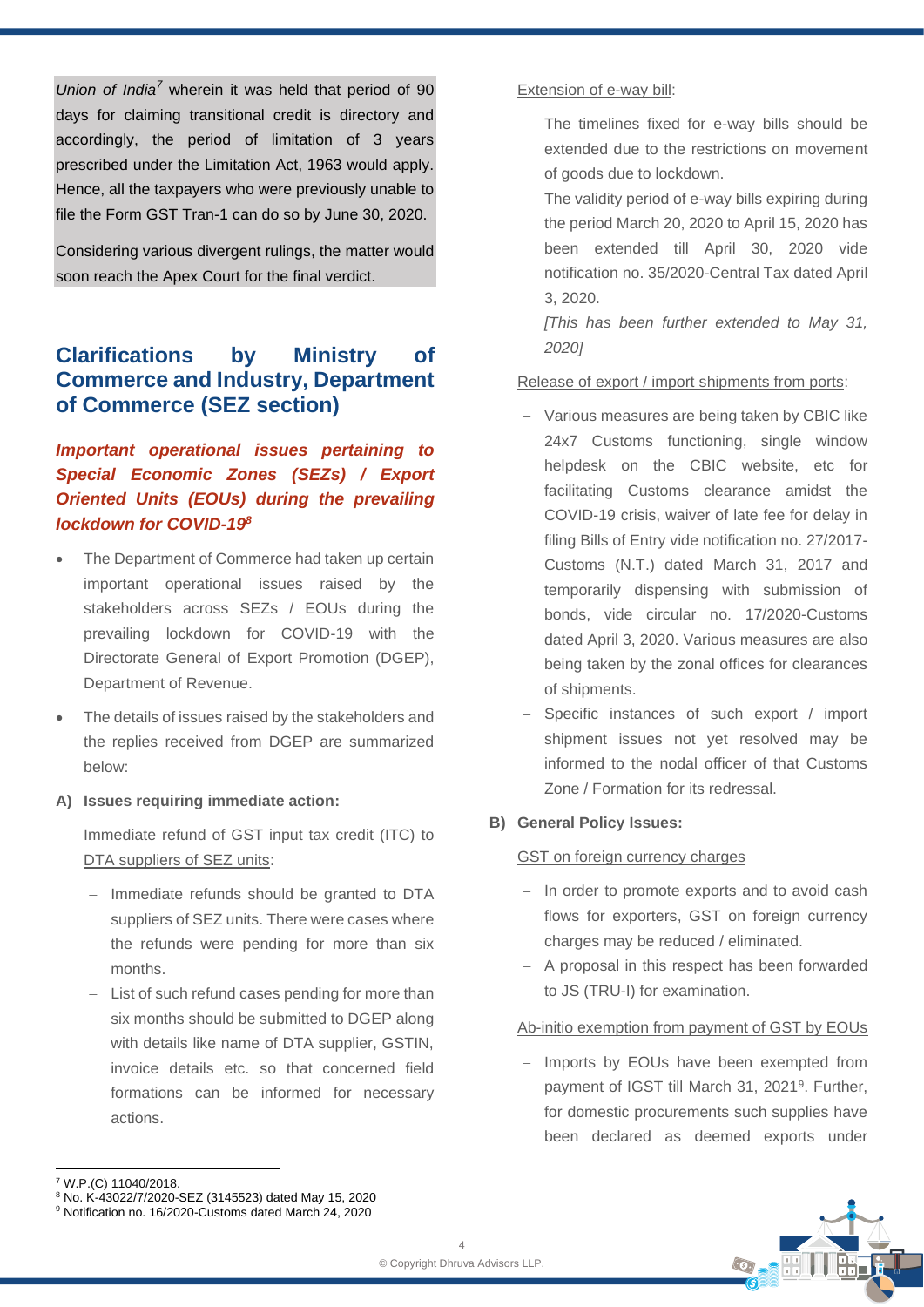*Union of India<sup>7</sup>* wherein it was held that period of 90 days for claiming transitional credit is directory and accordingly, the period of limitation of 3 years prescribed under the Limitation Act, 1963 would apply. Hence, all the taxpayers who were previously unable to file the Form GST Tran-1 can do so by June 30, 2020.

Considering various divergent rulings, the matter would soon reach the Apex Court for the final verdict.

### **Clarifications by Ministry of Commerce and Industry, Department of Commerce (SEZ section)**

*Important operational issues pertaining to Special Economic Zones (SEZs) / Export Oriented Units (EOUs) during the prevailing lockdown for COVID-19<sup>8</sup>*

- The Department of Commerce had taken up certain important operational issues raised by the stakeholders across SEZs / EOUs during the prevailing lockdown for COVID-19 with the Directorate General of Export Promotion (DGEP), Department of Revenue.
- The details of issues raised by the stakeholders and the replies received from DGEP are summarized below:
- **A) Issues requiring immediate action:**

Immediate refund of GST input tax credit (ITC) to DTA suppliers of SEZ units:

- − Immediate refunds should be granted to DTA suppliers of SEZ units. There were cases where the refunds were pending for more than six months.
- − List of such refund cases pending for more than six months should be submitted to DGEP along with details like name of DTA supplier, GSTIN, invoice details etc. so that concerned field formations can be informed for necessary actions.

#### Extension of e-way bill:

- − The timelines fixed for e-way bills should be extended due to the restrictions on movement of goods due to lockdown.
- − The validity period of e-way bills expiring during the period March 20, 2020 to April 15, 2020 has been extended till April 30, 2020 vide notification no. 35/2020-Central Tax dated April 3, 2020.

*[This has been further extended to May 31, 2020]*

### Release of export / import shipments from ports:

- − Various measures are being taken by CBIC like 24x7 Customs functioning, single window helpdesk on the CBIC website, etc for facilitating Customs clearance amidst the COVID-19 crisis, waiver of late fee for delay in filing Bills of Entry vide notification no. 27/2017- Customs (N.T.) dated March 31, 2017 and temporarily dispensing with submission of bonds, vide circular no. 17/2020-Customs dated April 3, 2020. Various measures are also being taken by the zonal offices for clearances of shipments.
- − Specific instances of such export / import shipment issues not yet resolved may be informed to the nodal officer of that Customs Zone / Formation for its redressal.

### **B) General Policy Issues:**

### GST on foreign currency charges

- − In order to promote exports and to avoid cash flows for exporters, GST on foreign currency charges may be reduced / eliminated.
- − A proposal in this respect has been forwarded to JS (TRU-I) for examination.

### Ab-initio exemption from payment of GST by EOUs

− Imports by EOUs have been exempted from payment of IGST till March 31, 2021<sup>9</sup> . Further, for domestic procurements such supplies have been declared as deemed exports under



<sup>8</sup> No. K-43022/7/2020-SEZ (3145523) dated May 15, 2020

<sup>7</sup> W.P.(C) 11040/2018.

<sup>9</sup> Notification no. 16/2020-Customs dated March 24, 2020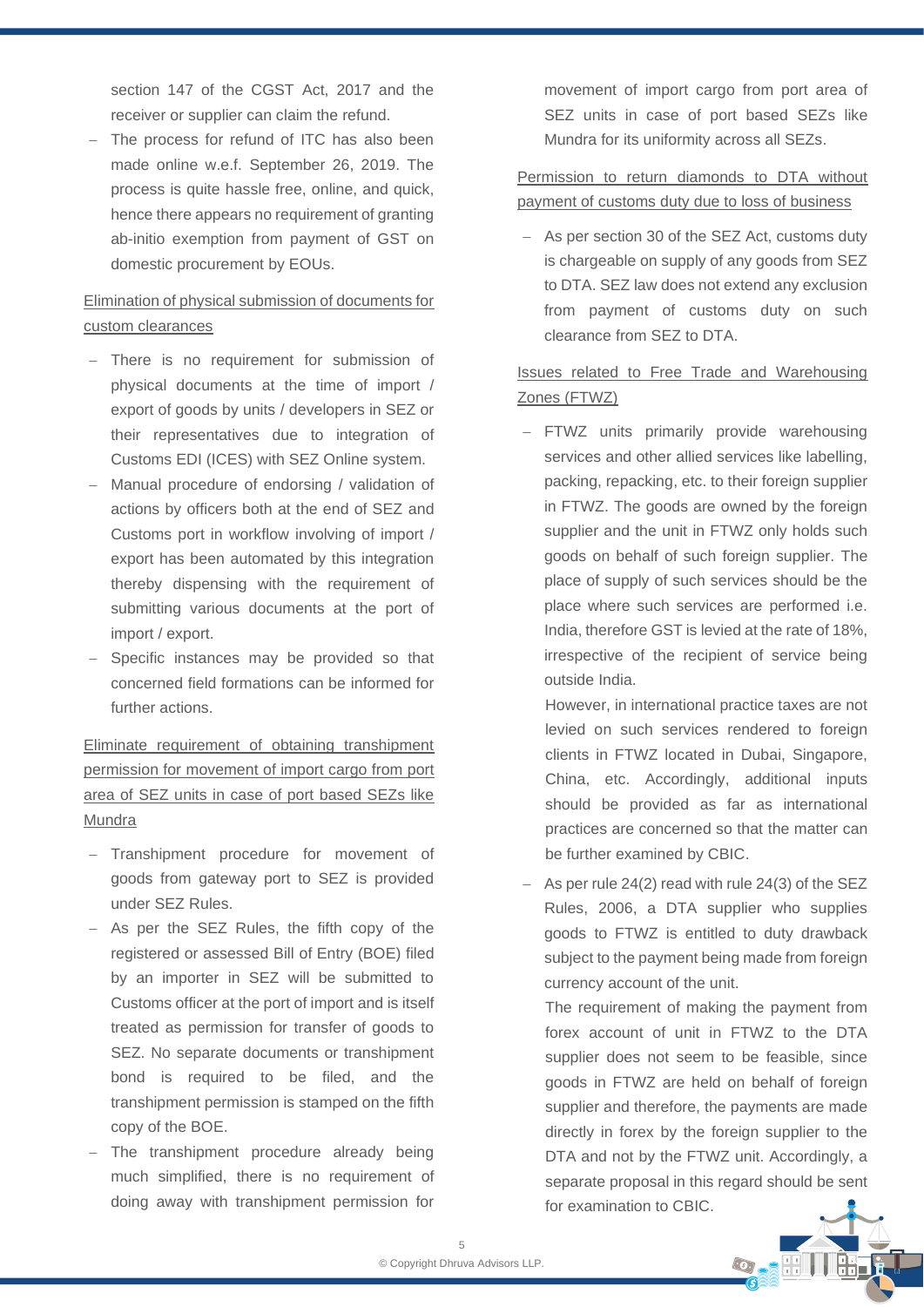section 147 of the CGST Act, 2017 and the receiver or supplier can claim the refund.

− The process for refund of ITC has also been made online w.e.f. September 26, 2019. The process is quite hassle free, online, and quick, hence there appears no requirement of granting ab-initio exemption from payment of GST on domestic procurement by EOUs.

### Elimination of physical submission of documents for custom clearances

- − There is no requirement for submission of physical documents at the time of import / export of goods by units / developers in SEZ or their representatives due to integration of Customs EDI (ICES) with SEZ Online system.
- − Manual procedure of endorsing / validation of actions by officers both at the end of SEZ and Customs port in workflow involving of import / export has been automated by this integration thereby dispensing with the requirement of submitting various documents at the port of import / export.
- − Specific instances may be provided so that concerned field formations can be informed for further actions.

Eliminate requirement of obtaining transhipment permission for movement of import cargo from port area of SEZ units in case of port based SEZs like Mundra

- − Transhipment procedure for movement of goods from gateway port to SEZ is provided under SEZ Rules.
- − As per the SEZ Rules, the fifth copy of the registered or assessed Bill of Entry (BOE) filed by an importer in SEZ will be submitted to Customs officer at the port of import and is itself treated as permission for transfer of goods to SEZ. No separate documents or transhipment bond is required to be filed, and the transhipment permission is stamped on the fifth copy of the BOE.
- − The transhipment procedure already being much simplified, there is no requirement of doing away with transhipment permission for

movement of import cargo from port area of SEZ units in case of port based SEZs like Mundra for its uniformity across all SEZs.

### Permission to return diamonds to DTA without payment of customs duty due to loss of business

− As per section 30 of the SEZ Act, customs duty is chargeable on supply of any goods from SEZ to DTA. SEZ law does not extend any exclusion from payment of customs duty on such clearance from SEZ to DTA.

### Issues related to Free Trade and Warehousing Zones (FTWZ)

− FTWZ units primarily provide warehousing services and other allied services like labelling, packing, repacking, etc. to their foreign supplier in FTWZ. The goods are owned by the foreign supplier and the unit in FTWZ only holds such goods on behalf of such foreign supplier. The place of supply of such services should be the place where such services are performed i.e. India, therefore GST is levied at the rate of 18%, irrespective of the recipient of service being outside India.

However, in international practice taxes are not levied on such services rendered to foreign clients in FTWZ located in Dubai, Singapore, China, etc. Accordingly, additional inputs should be provided as far as international practices are concerned so that the matter can be further examined by CBIC.

− As per rule 24(2) read with rule 24(3) of the SEZ Rules, 2006, a DTA supplier who supplies goods to FTWZ is entitled to duty drawback subject to the payment being made from foreign currency account of the unit.

The requirement of making the payment from forex account of unit in FTWZ to the DTA supplier does not seem to be feasible, since goods in FTWZ are held on behalf of foreign supplier and therefore, the payments are made directly in forex by the foreign supplier to the DTA and not by the FTWZ unit. Accordingly, a separate proposal in this regard should be sent for examination to CBIC.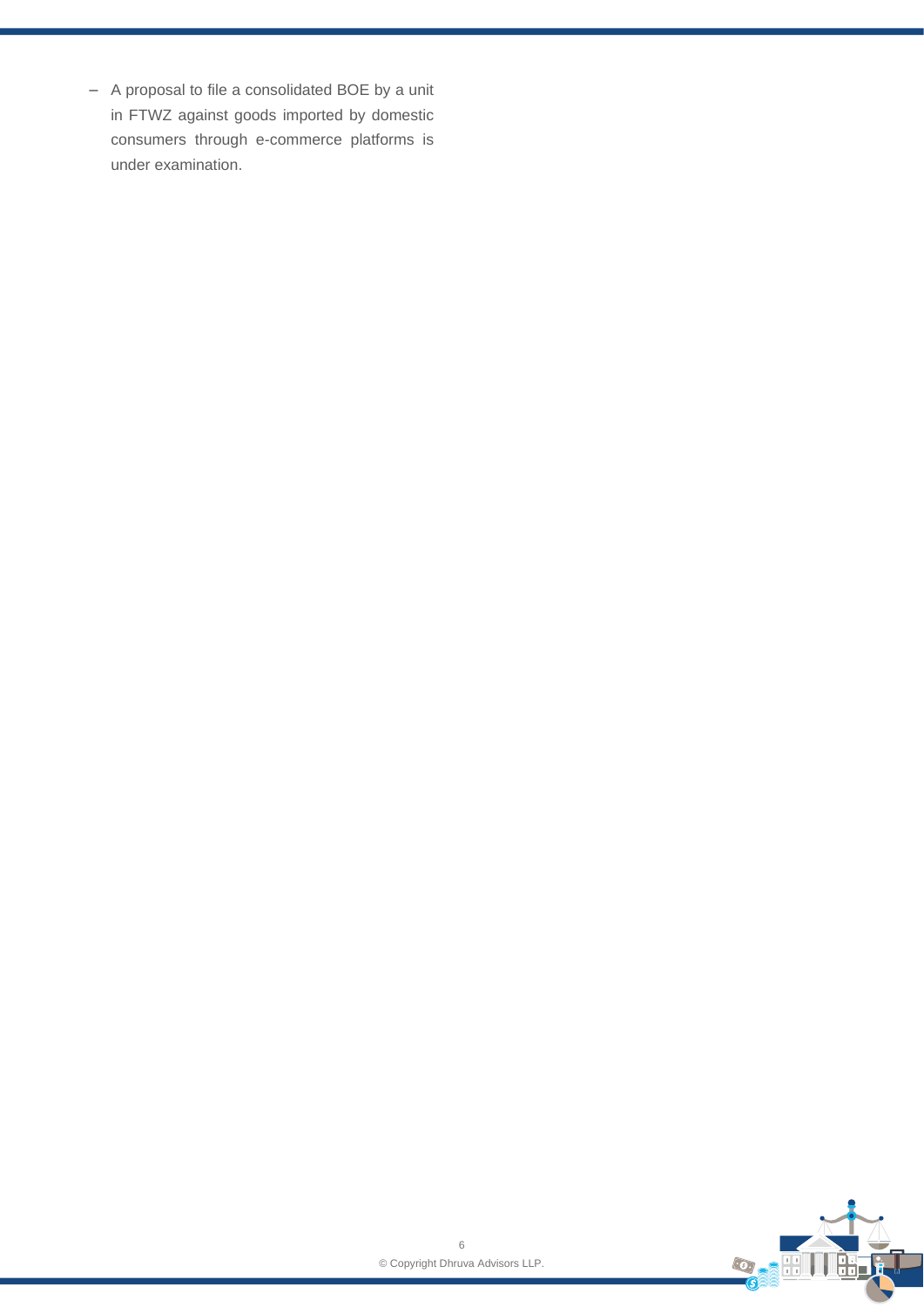− A proposal to file a consolidated BOE by a unit in FTWZ against goods imported by domestic consumers through e-commerce platforms is under examination.